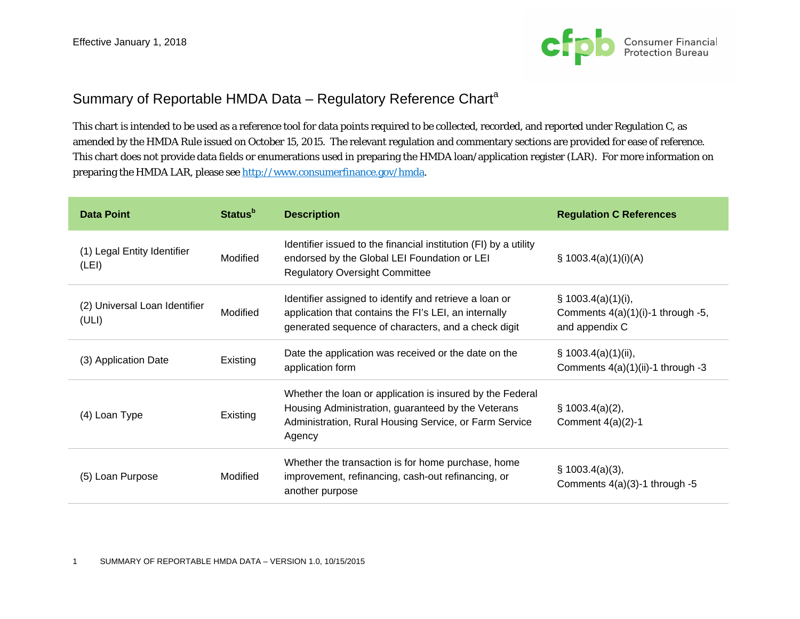

## Summary of Reportable HMDA Data – Regulatory Reference Chart<sup>a</sup>

This chart is intended to be used as a reference tool for data points required to be collected, recorded, and reported under Regulation C, as amended by the HMDA Rule issued on October 15, 2015. The relevant regulation and commentary sections are provided for ease of reference. This chart does not provide data fields or enumerations used in preparing the HMDA loan/application register (LAR). For more information on preparing the HMDA LAR, please see http://www.consumerfinance.gov/hmda.

| <b>Data Point</b>                      | <b>Status</b> <sup>b</sup> | <b>Description</b>                                                                                                                                                                  | <b>Regulation C References</b>                                                 |
|----------------------------------------|----------------------------|-------------------------------------------------------------------------------------------------------------------------------------------------------------------------------------|--------------------------------------------------------------------------------|
| (1) Legal Entity Identifier<br>(LEI)   | Modified                   | Identifier issued to the financial institution (FI) by a utility<br>endorsed by the Global LEI Foundation or LEI<br><b>Regulatory Oversight Committee</b>                           | $\S$ 1003.4(a)(1)(i)(A)                                                        |
| (2) Universal Loan Identifier<br>(ULI) | Modified                   | Identifier assigned to identify and retrieve a loan or<br>application that contains the FI's LEI, an internally<br>generated sequence of characters, and a check digit              | $\S$ 1003.4(a)(1)(i),<br>Comments $4(a)(1)(i)-1$ through -5,<br>and appendix C |
| (3) Application Date                   | Existing                   | Date the application was received or the date on the<br>application form                                                                                                            | $\S$ 1003.4(a)(1)(ii),<br>Comments $4(a)(1)(ii)-1$ through -3                  |
| (4) Loan Type                          | Existing                   | Whether the loan or application is insured by the Federal<br>Housing Administration, guaranteed by the Veterans<br>Administration, Rural Housing Service, or Farm Service<br>Agency | $\S$ 1003.4(a)(2),<br>Comment $4(a)(2)-1$                                      |
| (5) Loan Purpose                       | Modified                   | Whether the transaction is for home purchase, home<br>improvement, refinancing, cash-out refinancing, or<br>another purpose                                                         | $\S$ 1003.4(a)(3),<br>Comments 4(a)(3)-1 through -5                            |

1 SUMMARY OF REPORTABLE HMDA DATA – VERSION 1.0, 10/15/2015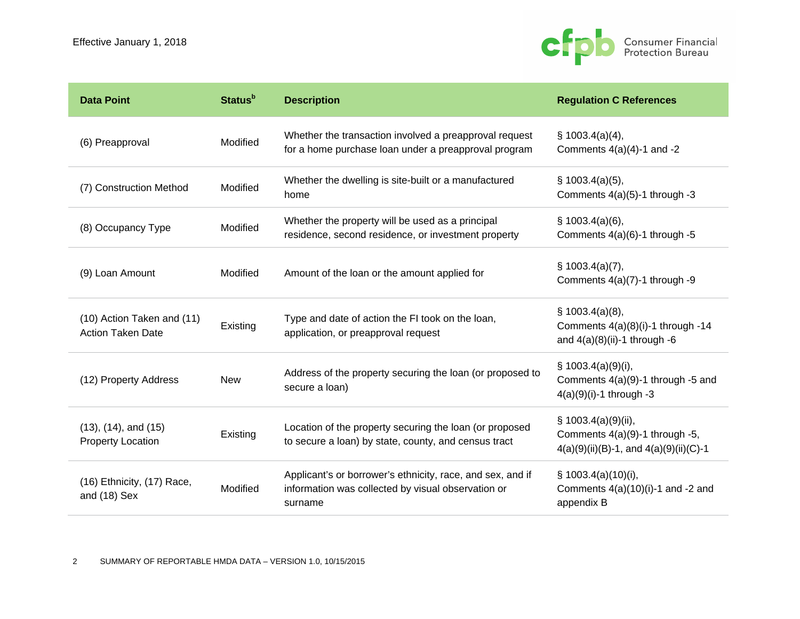

| <b>Data Point</b>                                        | <b>Status</b> <sup>b</sup> | <b>Description</b>                                                                                                          | <b>Regulation C References</b>                                                                          |
|----------------------------------------------------------|----------------------------|-----------------------------------------------------------------------------------------------------------------------------|---------------------------------------------------------------------------------------------------------|
| (6) Preapproval                                          | Modified                   | Whether the transaction involved a preapproval request<br>for a home purchase loan under a preapproval program              | $\S$ 1003.4(a)(4),<br>Comments $4(a)(4)-1$ and $-2$                                                     |
| (7) Construction Method                                  | Modified                   | Whether the dwelling is site-built or a manufactured<br>home                                                                | $\S$ 1003.4(a)(5),<br>Comments $4(a)(5)-1$ through -3                                                   |
| (8) Occupancy Type                                       | Modified                   | Whether the property will be used as a principal<br>residence, second residence, or investment property                     | \$1003.4(a)(6),<br>Comments 4(a)(6)-1 through -5                                                        |
| (9) Loan Amount                                          | Modified                   | Amount of the loan or the amount applied for                                                                                | $\S$ 1003.4(a)(7),<br>Comments 4(a)(7)-1 through -9                                                     |
| (10) Action Taken and (11)<br><b>Action Taken Date</b>   | Existing                   | Type and date of action the FI took on the loan,<br>application, or preapproval request                                     | $\S$ 1003.4(a)(8),<br>Comments 4(a)(8)(i)-1 through -14<br>and $4(a)(8)(ii)-1$ through -6               |
| (12) Property Address                                    | <b>New</b>                 | Address of the property securing the loan (or proposed to<br>secure a loan)                                                 | $\S$ 1003.4(a)(9)(i),<br>Comments 4(a)(9)-1 through -5 and<br>$4(a)(9)(i)-1$ through -3                 |
| $(13)$ , $(14)$ , and $(15)$<br><b>Property Location</b> | Existing                   | Location of the property securing the loan (or proposed<br>to secure a loan) by state, county, and census tract             | $\S$ 1003.4(a)(9)(ii),<br>Comments 4(a)(9)-1 through -5,<br>$4(a)(9)(ii)(B)-1$ , and $4(a)(9)(ii)(C)-1$ |
| (16) Ethnicity, (17) Race,<br>and (18) Sex               | Modified                   | Applicant's or borrower's ethnicity, race, and sex, and if<br>information was collected by visual observation or<br>surname | $\S$ 1003.4(a)(10)(i),<br>Comments $4(a)(10)(i)-1$ and -2 and<br>appendix B                             |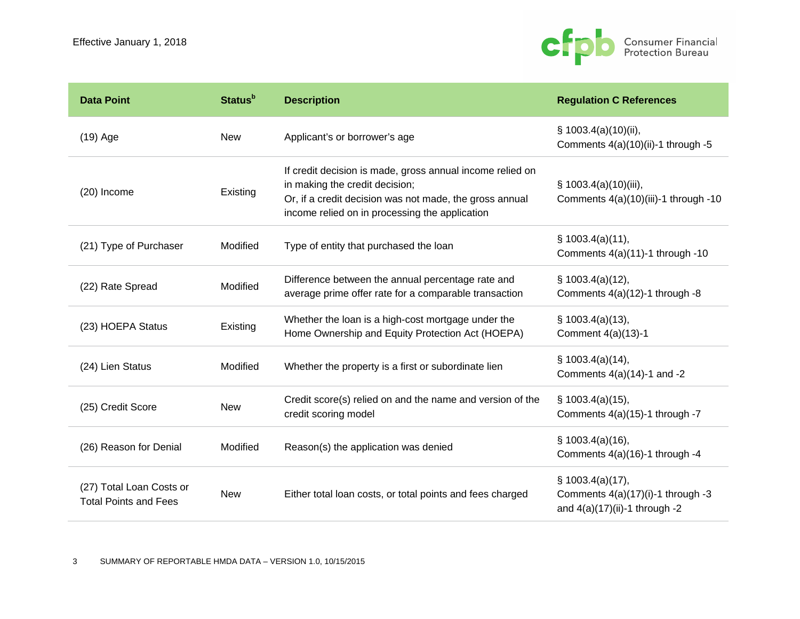

| <b>Data Point</b>                                        | <b>Status</b> <sup>b</sup> | <b>Description</b>                                                                                                                                                                                       | <b>Regulation C References</b>                                                            |
|----------------------------------------------------------|----------------------------|----------------------------------------------------------------------------------------------------------------------------------------------------------------------------------------------------------|-------------------------------------------------------------------------------------------|
| $(19)$ Age                                               | <b>New</b>                 | Applicant's or borrower's age                                                                                                                                                                            | § 1003.4(a)(10)(ii),<br>Comments 4(a)(10)(ii)-1 through -5                                |
| (20) Income                                              | Existing                   | If credit decision is made, gross annual income relied on<br>in making the credit decision;<br>Or, if a credit decision was not made, the gross annual<br>income relied on in processing the application | $\S$ 1003.4(a)(10)(iii),<br>Comments 4(a)(10)(iii)-1 through -10                          |
| (21) Type of Purchaser                                   | Modified                   | Type of entity that purchased the loan                                                                                                                                                                   | $\S$ 1003.4(a)(11),<br>Comments 4(a)(11)-1 through -10                                    |
| (22) Rate Spread                                         | Modified                   | Difference between the annual percentage rate and<br>average prime offer rate for a comparable transaction                                                                                               | $\S$ 1003.4(a)(12),<br>Comments $4(a)(12)-1$ through -8                                   |
| (23) HOEPA Status                                        | Existing                   | Whether the loan is a high-cost mortgage under the<br>Home Ownership and Equity Protection Act (HOEPA)                                                                                                   | $\S$ 1003.4(a)(13),<br>Comment 4(a)(13)-1                                                 |
| (24) Lien Status                                         | Modified                   | Whether the property is a first or subordinate lien                                                                                                                                                      | $\S$ 1003.4(a)(14),<br>Comments $4(a)(14)-1$ and $-2$                                     |
| (25) Credit Score                                        | <b>New</b>                 | Credit score(s) relied on and the name and version of the<br>credit scoring model                                                                                                                        | $\S$ 1003.4(a)(15),<br>Comments $4(a)(15)-1$ through -7                                   |
| (26) Reason for Denial                                   | Modified                   | Reason(s) the application was denied                                                                                                                                                                     | \$1003.4(a)(16),<br>Comments $4(a)(16)-1$ through -4                                      |
| (27) Total Loan Costs or<br><b>Total Points and Fees</b> | <b>New</b>                 | Either total loan costs, or total points and fees charged                                                                                                                                                | $\S$ 1003.4(a)(17),<br>Comments 4(a)(17)(i)-1 through -3<br>and 4(a)(17)(ii)-1 through -2 |

3 SUMMARY OF REPORTABLE HMDA DATA – VERSION 1.0, 10/15/2015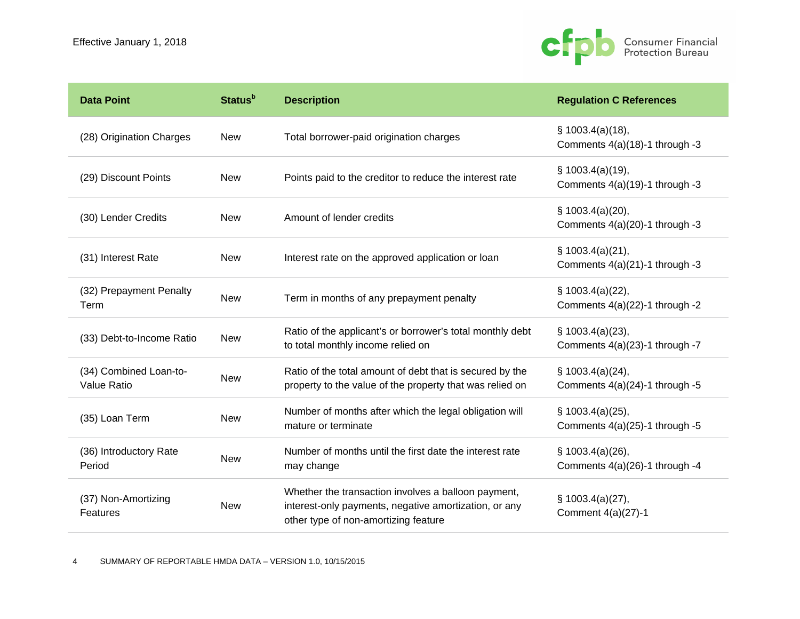

| <b>Data Point</b>                            | <b>Status</b> <sup>b</sup> | <b>Description</b>                                                                                                                                   | <b>Regulation C References</b>                           |
|----------------------------------------------|----------------------------|------------------------------------------------------------------------------------------------------------------------------------------------------|----------------------------------------------------------|
| (28) Origination Charges                     | <b>New</b>                 | Total borrower-paid origination charges                                                                                                              | $\S$ 1003.4(a)(18),<br>Comments 4(a)(18)-1 through -3    |
| (29) Discount Points                         | <b>New</b>                 | Points paid to the creditor to reduce the interest rate                                                                                              | \$1003.4(a)(19),<br>Comments 4(a)(19)-1 through -3       |
| (30) Lender Credits                          | <b>New</b>                 | Amount of lender credits                                                                                                                             | § 1003.4(a)(20),<br>Comments 4(a)(20)-1 through -3       |
| (31) Interest Rate                           | <b>New</b>                 | Interest rate on the approved application or loan                                                                                                    | \$1003.4(a)(21),<br>Comments 4(a)(21)-1 through -3       |
| (32) Prepayment Penalty<br>Term              | <b>New</b>                 | Term in months of any prepayment penalty                                                                                                             | § 1003.4(a)(22),<br>Comments $4(a)(22)$ -1 through -2    |
| (33) Debt-to-Income Ratio                    | <b>New</b>                 | Ratio of the applicant's or borrower's total monthly debt<br>to total monthly income relied on                                                       | $\S$ 1003.4(a)(23),<br>Comments 4(a)(23)-1 through -7    |
| (34) Combined Loan-to-<br><b>Value Ratio</b> | <b>New</b>                 | Ratio of the total amount of debt that is secured by the<br>property to the value of the property that was relied on                                 | $\S$ 1003.4(a)(24),<br>Comments $4(a)(24)-1$ through -5  |
| (35) Loan Term                               | <b>New</b>                 | Number of months after which the legal obligation will<br>mature or terminate                                                                        | $\S$ 1003.4(a)(25),<br>Comments $4(a)(25)$ -1 through -5 |
| (36) Introductory Rate<br>Period             | <b>New</b>                 | Number of months until the first date the interest rate<br>may change                                                                                | \$1003.4(a)(26),<br>Comments 4(a)(26)-1 through -4       |
| (37) Non-Amortizing<br>Features              | <b>New</b>                 | Whether the transaction involves a balloon payment,<br>interest-only payments, negative amortization, or any<br>other type of non-amortizing feature | § 1003.4(a)(27),<br>Comment 4(a)(27)-1                   |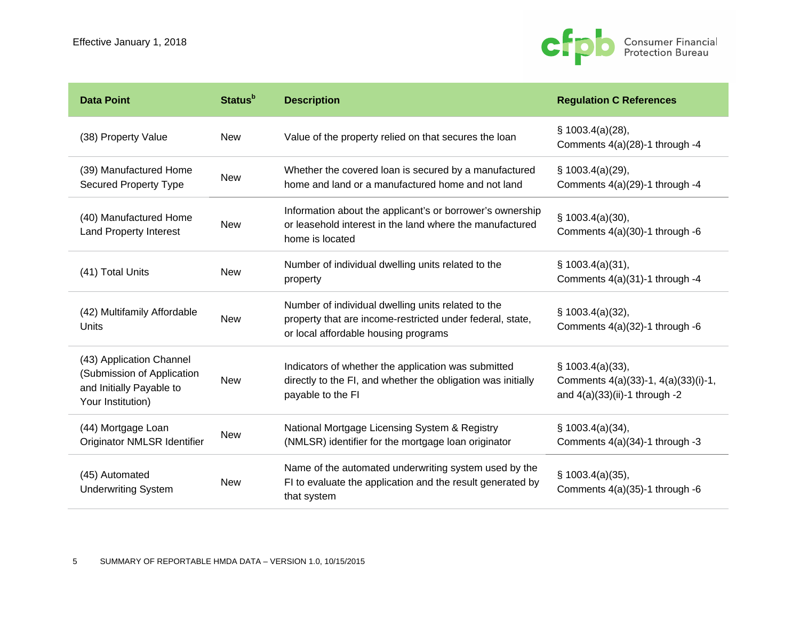

| <b>Data Point</b>                                                                                       | <b>Status</b> <sup>b</sup> | <b>Description</b>                                                                                                                                      | <b>Regulation C References</b>                                                              |
|---------------------------------------------------------------------------------------------------------|----------------------------|---------------------------------------------------------------------------------------------------------------------------------------------------------|---------------------------------------------------------------------------------------------|
| (38) Property Value                                                                                     | <b>New</b>                 | Value of the property relied on that secures the loan                                                                                                   | \$1003.4(a)(28),<br>Comments 4(a)(28)-1 through -4                                          |
| (39) Manufactured Home<br><b>Secured Property Type</b>                                                  | <b>New</b>                 | Whether the covered loan is secured by a manufactured<br>home and land or a manufactured home and not land                                              | $\S$ 1003.4(a)(29),<br>Comments 4(a)(29)-1 through -4                                       |
| (40) Manufactured Home<br><b>Land Property Interest</b>                                                 | <b>New</b>                 | Information about the applicant's or borrower's ownership<br>or leasehold interest in the land where the manufactured<br>home is located                | $\S$ 1003.4(a)(30),<br>Comments 4(a)(30)-1 through -6                                       |
| (41) Total Units                                                                                        | <b>New</b>                 | Number of individual dwelling units related to the<br>property                                                                                          | $\S$ 1003.4(a)(31),<br>Comments $4(a)(31)-1$ through -4                                     |
| (42) Multifamily Affordable<br>Units                                                                    | <b>New</b>                 | Number of individual dwelling units related to the<br>property that are income-restricted under federal, state,<br>or local affordable housing programs | $\S$ 1003.4(a)(32),<br>Comments 4(a)(32)-1 through -6                                       |
| (43) Application Channel<br>(Submission of Application<br>and Initially Payable to<br>Your Institution) | <b>New</b>                 | Indicators of whether the application was submitted<br>directly to the FI, and whether the obligation was initially<br>payable to the FI                | $\S$ 1003.4(a)(33),<br>Comments 4(a)(33)-1, 4(a)(33)(i)-1,<br>and 4(a)(33)(ii)-1 through -2 |
| (44) Mortgage Loan<br>Originator NMLSR Identifier                                                       | <b>New</b>                 | National Mortgage Licensing System & Registry<br>(NMLSR) identifier for the mortgage loan originator                                                    | $\S$ 1003.4(a)(34),<br>Comments 4(a)(34)-1 through -3                                       |
| (45) Automated<br><b>Underwriting System</b>                                                            | <b>New</b>                 | Name of the automated underwriting system used by the<br>FI to evaluate the application and the result generated by<br>that system                      | $\S$ 1003.4(a)(35),<br>Comments $4(a)(35)-1$ through -6                                     |